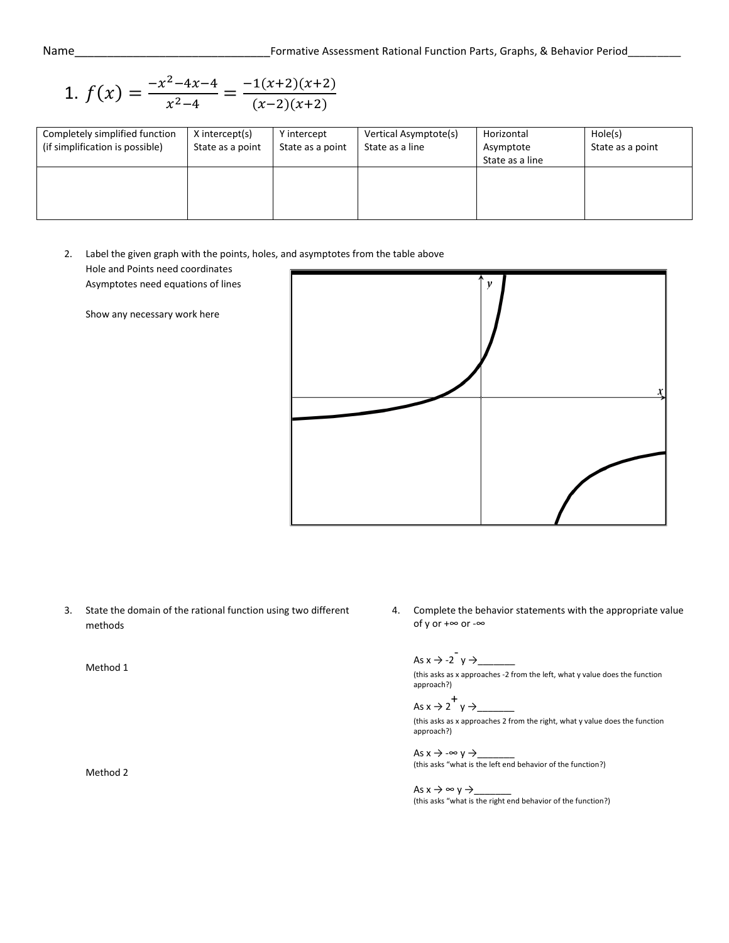## Name\_\_\_\_\_\_\_\_\_\_\_\_\_\_\_\_\_\_\_\_\_\_\_\_\_\_\_\_\_\_Formative Assessment Rational Function Parts, Graphs, & Behavior Period\_\_\_\_\_\_\_\_\_

1. 
$$
f(x) = \frac{-x^2 - 4x - 4}{x^2 - 4} = \frac{-1(x+2)(x+2)}{(x-2)(x+2)}
$$

| Completely simplified function<br>(if simplification is possible) | X intercept(s)<br>State as a point | Y intercept<br>State as a point | Vertical Asymptote(s)<br>State as a line | Horizontal<br>Asymptote<br>State as a line | Hole(s)<br>State as a point |
|-------------------------------------------------------------------|------------------------------------|---------------------------------|------------------------------------------|--------------------------------------------|-----------------------------|
|                                                                   |                                    |                                 |                                          |                                            |                             |

2. Label the given graph with the points, holes, and asymptotes from the table above

Hole and Points need coordinates Asymptotes need equations of lines

Show any necessary work here



3. State the domain of the rational function using two different methods

Method 1

4. Complete the behavior statements with the appropriate value of y or +∞ or -∞

As  $x \to -2$   $y \to$  \_\_\_\_\_\_\_

(this asks as x approaches -2 from the left, what y value does the function approach?)

As x → 2 + y →\_\_\_\_\_\_\_ (this asks as x approaches 2 from the right, what y value does the function approach?)

As  $x \to -\infty$   $y \to -$ (this asks "what is the left end behavior of the function?)

As  $x \to \infty$  y  $\to \_$ (this asks "what is the right end behavior of the function?)

Method 2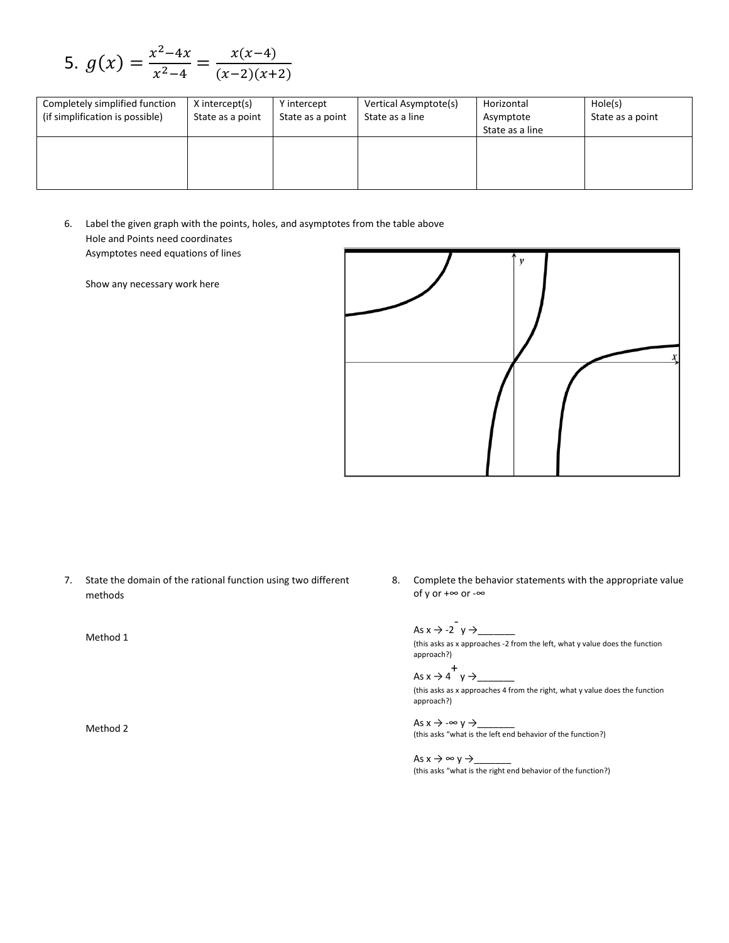5. 
$$
g(x) = \frac{x^2 - 4x}{x^2 - 4} = \frac{x(x-4)}{(x-2)(x+2)}
$$

| Completely simplified function<br>(if simplification is possible) | X intercept(s)<br>State as a point | Y intercept<br>State as a point | Vertical Asymptote(s)<br>State as a line | Horizontal<br>Asymptote<br>State as a line | Hole(s)<br>State as a point |
|-------------------------------------------------------------------|------------------------------------|---------------------------------|------------------------------------------|--------------------------------------------|-----------------------------|
|                                                                   |                                    |                                 |                                          |                                            |                             |

- 6. Label the given graph with the points, holes, and asymptotes from the table above Hole and Points need coordinates Asymptotes need equations of lines
	- Show any necessary work here



7. State the domain of the rational function using two different methods

Method 1

Method 2

8. Complete the behavior statements with the appropriate value of y or +∞ or -∞

As x → -2 - y →\_\_\_\_\_\_\_ (this asks as x approaches -2 from the left, what y value does the function approach?)

As x → 4 + y →\_\_\_\_\_\_\_ (this asks as x approaches 4 from the right, what y value does the function approach?)

As  $x \to -\infty$   $y \to$ (this asks "what is the left end behavior of the function?)

As  $x \to \infty$  y  $\to$ (this asks "what is the right end behavior of the function?)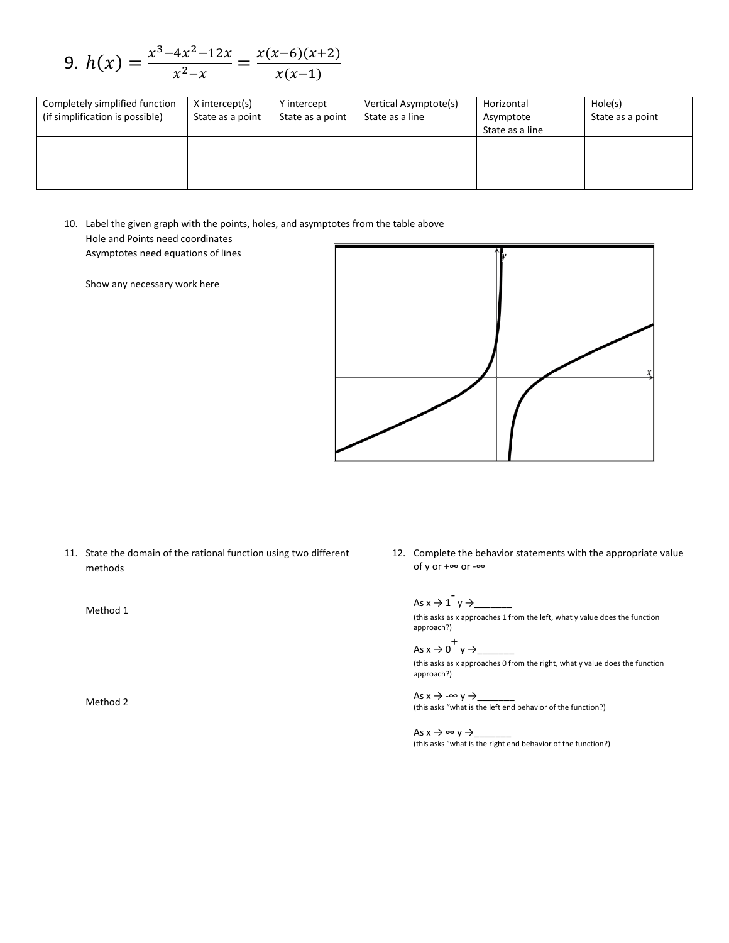9. 
$$
h(x) = \frac{x^3 - 4x^2 - 12x}{x^2 - x} = \frac{x(x-6)(x+2)}{x(x-1)}
$$

| Completely simplified function<br>(if simplification is possible) | X intercept(s)<br>State as a point | Y intercept<br>State as a point | Vertical Asymptote(s)<br>State as a line | Horizontal<br>Asymptote<br>State as a line | Hole(s)<br>State as a point |
|-------------------------------------------------------------------|------------------------------------|---------------------------------|------------------------------------------|--------------------------------------------|-----------------------------|
|                                                                   |                                    |                                 |                                          |                                            |                             |

- 10. Label the given graph with the points, holes, and asymptotes from the table above Hole and Points need coordinates Asymptotes need equations of lines
	- Show any necessary work here



- 11. State the domain of the rational function using two different methods
	- Method 1

Method 2

12. Complete the behavior statements with the appropriate value of y or +∞ or -∞

## As x → 1 - y →\_\_\_\_\_\_\_ (this asks as x approaches 1 from the left, what y value does the function approach?)

As x → 0 + y →\_\_\_\_\_\_\_ (this asks as x approaches 0 from the right, what y value does the function approach?)

As  $x \to -\infty$   $y \to$ (this asks "what is the left end behavior of the function?)

As  $x \to \infty$  y  $\to$ (this asks "what is the right end behavior of the function?)